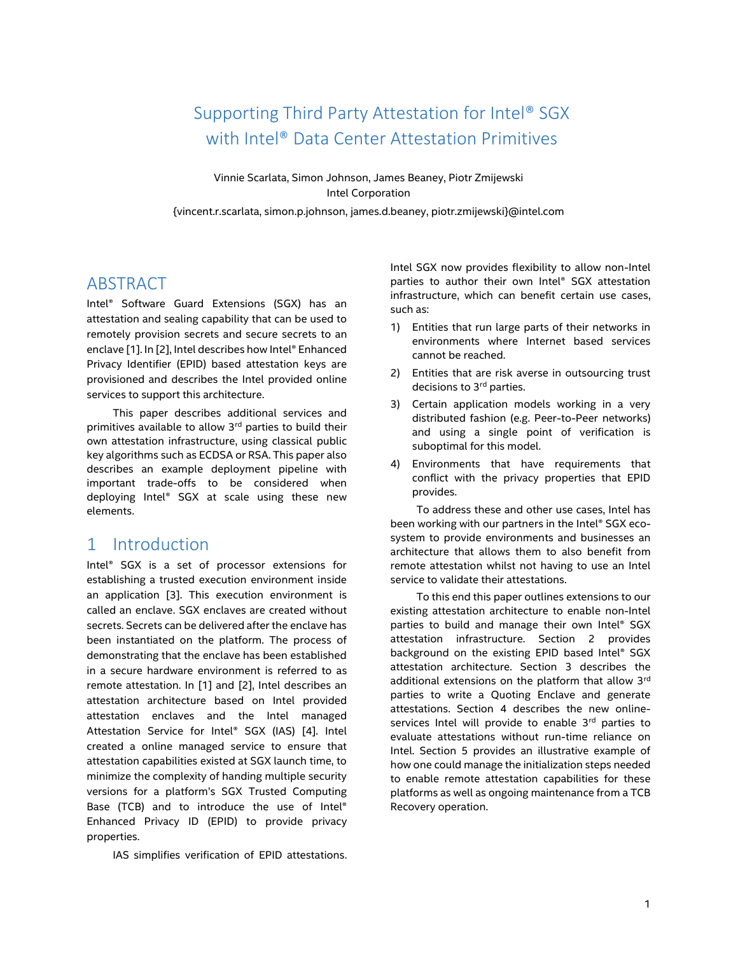# Supporting Third Party Attestation for Intel® SGX with Intel® Data Center Attestation Primitives

Vinnie Scarlata, Simon Johnson, James Beaney, Piotr Zmijewski Intel Corporation

{vincent.r.scarlata, simon.p.johnson, james.d.beaney, piotr.zmijewski}@intel.com

## ABSTRACT

Intel® Software Guard Extensions (SGX) has an attestation and sealing capability that can be used to remotely provision secrets and secure secrets to an enclave [1]. In [2], Intel describes how Intel® Enhanced Privacy Identifier (EPID) based attestation keys are provisioned and describes the Intel provided online services to support this architecture.

This paper describes additional services and primitives available to allow 3rd parties to build their own attestation infrastructure, using classical public key algorithms such as ECDSA or RSA. This paper also describes an example deployment pipeline with important trade-offs to be considered when deploying Intel® SGX at scale using these new elements.

## 1 Introduction

Intel® SGX is a set of processor extensions for establishing a trusted execution environment inside an application [3]. This execution environment is called an enclave. SGX enclaves are created without secrets. Secrets can be delivered after the enclave has been instantiated on the platform. The process of demonstrating that the enclave has been established in a secure hardware environment is referred to as remote attestation. In [1] and [2], Intel describes an attestation architecture based on Intel provided attestation enclaves and the Intel managed Attestation Service for Intel® SGX (IAS) [4]. Intel created a online managed service to ensure that attestation capabilities existed at SGX launch time, to minimize the complexity of handing multiple security versions for a platform's SGX Trusted Computing Base (TCB) and to introduce the use of Intel® Enhanced Privacy ID (EPID) to provide privacy properties.

IAS simplifies verification of EPID attestations.

Intel SGX now provides flexibility to allow non-Intel parties to author their own Intel® SGX attestation infrastructure, which can benefit certain use cases, such as:

- 1) Entities that run large parts of their networks in environments where Internet based services cannot be reached.
- 2) Entities that are risk averse in outsourcing trust decisions to 3<sup>rd</sup> parties.
- 3) Certain application models working in a very distributed fashion (e.g. Peer-to-Peer networks) and using a single point of verification is suboptimal for this model.
- 4) Environments that have requirements that conflict with the privacy properties that EPID provides.

To address these and other use cases, Intel has been working with our partners in the Intel® SGX ecosystem to provide environments and businesses an architecture that allows them to also benefit from remote attestation whilst not having to use an Intel service to validate their attestations.

To this end this paper outlines extensions to our existing attestation architecture to enable non-Intel parties to build and manage their own Intel® SGX attestation infrastructure. Section [2](#page-1-0) provides background on the existing EPID based Intel® SGX attestation architecture. Section [3](#page-2-0) describes the additional extensions on the platform that allow 3rd parties to write a Quoting Enclave and generate attestations. Section [4](#page-3-0) describes the new onlineservices Intel will provide to enable 3rd parties to evaluate attestations without run-time reliance on Intel. Section [5](#page-5-0) provides an illustrative example of how one could manage the initialization steps needed to enable remote attestation capabilities for these platforms as well as ongoing maintenance from a TCB Recovery operation.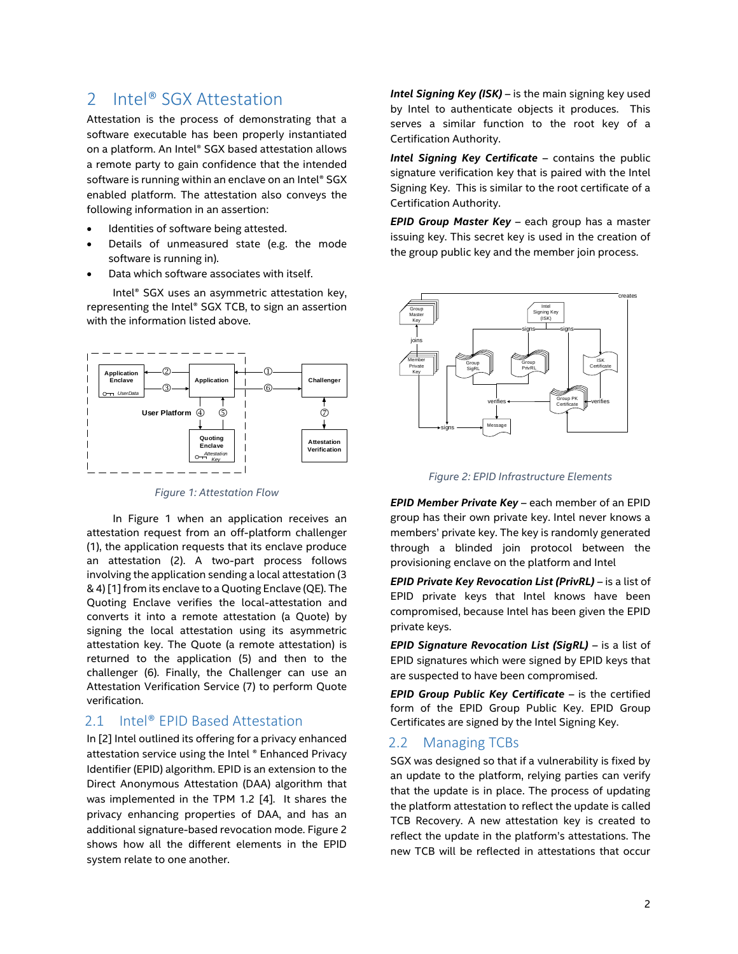## <span id="page-1-0"></span>2 Intel<sup>®</sup> SGX Attestation

Attestation is the process of demonstrating that a software executable has been properly instantiated on a platform. An Intel® SGX based attestation allows a remote party to gain confidence that the intended software is running within an enclave on an Intel® SGX enabled platform. The attestation also conveys the following information in an assertion:

- Identities of software being attested.
- Details of unmeasured state (e.g. the mode software is running in).
- Data which software associates with itself.

Intel® SGX uses an asymmetric attestation key, representing the Intel® SGX TCB, to sign an assertion with the information listed above.



*Figure 1: Attestation Flow*

<span id="page-1-1"></span>In [Figure 1](#page-1-1) when an application receives an attestation request from an off-platform challenger (1), the application requests that its enclave produce an attestation (2). A two-part process follows involving the application sending a local attestation (3 & 4) [1] from its enclave to a Quoting Enclave (QE). The Quoting Enclave verifies the local-attestation and converts it into a remote attestation (a Quote) by signing the local attestation using its asymmetric attestation key. The Quote (a remote attestation) is returned to the application (5) and then to the challenger (6). Finally, the Challenger can use an Attestation Verification Service (7) to perform Quote verification.

## 2.1 Intel<sup>®</sup> EPID Based Attestation

In [2] Intel outlined its offering for a privacy enhanced attestation service using the Intel ® Enhanced Privacy Identifier (EPID) algorithm. EPID is an extension to the Direct Anonymous Attestation (DAA) algorithm that was implemented in the TPM 1.2 [4]. It shares the privacy enhancing properties of DAA, and has an additional signature-based revocation mode. [Figure 2](#page-1-2) shows how all the different elements in the EPID system relate to one another.

*Intel Signing Key (ISK)* – is the main signing key used by Intel to authenticate objects it produces. This serves a similar function to the root key of a Certification Authority.

*Intel Signing Key Certificate* – contains the public signature verification key that is paired with the Intel Signing Key. This is similar to the root certificate of a Certification Authority.

*EPID Group Master Key* – each group has a master issuing key. This secret key is used in the creation of the group public key and the member join process.



*Figure 2: EPID Infrastructure Elements*

<span id="page-1-2"></span>*EPID Member Private Key* – each member of an EPID group has their own private key. Intel never knows a members' private key. The key is randomly generated through a blinded join protocol between the provisioning enclave on the platform and Intel

*EPID Private Key Revocation List (PrivRL)* – is a list of EPID private keys that Intel knows have been compromised, because Intel has been given the EPID private keys.

*EPID Signature Revocation List (SigRL)* – is a list of EPID signatures which were signed by EPID keys that are suspected to have been compromised.

*EPID Group Public Key Certificate* – is the certified form of the EPID Group Public Key. EPID Group Certificates are signed by the Intel Signing Key.

### 2.2 Managing TCBs

SGX was designed so that if a vulnerability is fixed by an update to the platform, relying parties can verify that the update is in place. The process of updating the platform attestation to reflect the update is called TCB Recovery. A new attestation key is created to reflect the update in the platform's attestations. The new TCB will be reflected in attestations that occur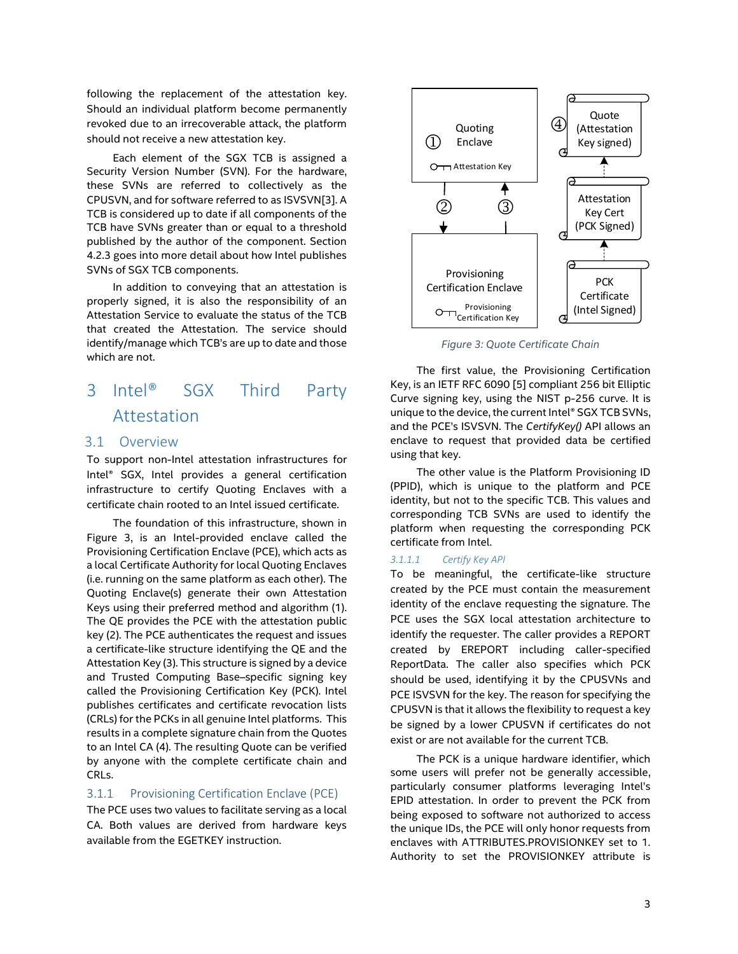following the replacement of the attestation key. Should an individual platform become permanently revoked due to an irrecoverable attack, the platform should not receive a new attestation key.

Each element of the SGX TCB is assigned a Security Version Number (SVN). For the hardware, these SVNs are referred to collectively as the CPUSVN, and for software referred to as ISVSVN[3]. A TCB is considered up to date if all components of the TCB have SVNs greater than or equal to a threshold published by the author of the component. Section [4.2.3](#page-4-0) goes into more detail about how Intel publishes SVNs of SGX TCB components.

In addition to conveying that an attestation is properly signed, it is also the responsibility of an Attestation Service to evaluate the status of the TCB that created the Attestation. The service should identify/manage which TCB's are up to date and those which are not.

# <span id="page-2-0"></span>3 Intel® SGX Third Party Attestation

#### 3.1 Overview

To support non-Intel attestation infrastructures for Intel® SGX, Intel provides a general certification infrastructure to certify Quoting Enclaves with a certificate chain rooted to an Intel issued certificate.

The foundation of this infrastructure, shown in [Figure 3,](#page-2-1) is an Intel-provided enclave called the Provisioning Certification Enclave (PCE), which acts as a local Certificate Authority for local Quoting Enclaves (i.e. running on the same platform as each other). The Quoting Enclave(s) generate their own Attestation Keys using their preferred method and algorithm (1). The QE provides the PCE with the attestation public key (2). The PCE authenticates the request and issues a certificate-like structure identifying the QE and the Attestation Key (3). This structure is signed by a device and Trusted Computing Base–specific signing key called the Provisioning Certification Key (PCK). Intel publishes certificates and certificate revocation lists (CRLs) for the PCKs in all genuine Intel platforms. This results in a complete signature chain from the Quotes to an Intel CA (4). The resulting Quote can be verified by anyone with the complete certificate chain and CRLs.

#### 3.1.1 Provisioning Certification Enclave (PCE)

The PCE uses two values to facilitate serving as a local CA. Both values are derived from hardware keys available from the EGETKEY instruction.



*Figure 3: Quote Certificate Chain*

<span id="page-2-1"></span>The first value, the Provisioning Certification Key, is an IETF RFC 6090 [5] compliant 256 bit Elliptic Curve signing key, using the NIST p-256 curve. It is unique to the device, the current Intel® SGX TCB SVNs, and the PCE's ISVSVN. The *CertifyKey()* API allows an enclave to request that provided data be certified using that key.

The other value is the Platform Provisioning ID (PPID), which is unique to the platform and PCE identity, but not to the specific TCB. This values and corresponding TCB SVNs are used to identify the platform when requesting the corresponding PCK certificate from Intel.

#### *3.1.1.1 Certify Key API*

To be meaningful, the certificate-like structure created by the PCE must contain the measurement identity of the enclave requesting the signature. The PCE uses the SGX local attestation architecture to identify the requester. The caller provides a REPORT created by EREPORT including caller-specified ReportData. The caller also specifies which PCK should be used, identifying it by the CPUSVNs and PCE ISVSVN for the key. The reason for specifying the CPUSVN is that it allows the flexibility to request a key be signed by a lower CPUSVN if certificates do not exist or are not available for the current TCB.

The PCK is a unique hardware identifier, which some users will prefer not be generally accessible, particularly consumer platforms leveraging Intel's EPID attestation. In order to prevent the PCK from being exposed to software not authorized to access the unique IDs, the PCE will only honor requests from enclaves with ATTRIBUTES.PROVISIONKEY set to 1. Authority to set the PROVISIONKEY attribute is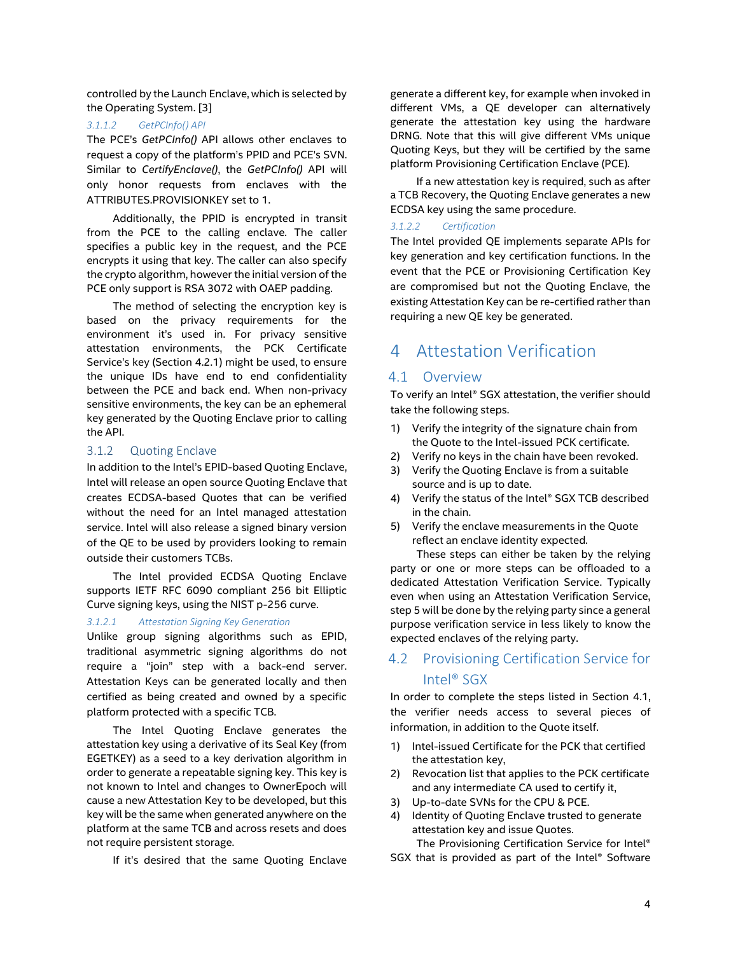controlled by the Launch Enclave, which is selected by the Operating System. [3]

#### *3.1.1.2 GetPCInfo() API*

The PCE's *GetPCInfo()* API allows other enclaves to request a copy of the platform's PPID and PCE's SVN. Similar to *CertifyEnclave()*, the *GetPCInfo()* API will only honor requests from enclaves with the ATTRIBUTES.PROVISIONKEY set to 1.

Additionally, the PPID is encrypted in transit from the PCE to the calling enclave. The caller specifies a public key in the request, and the PCE encrypts it using that key. The caller can also specify the crypto algorithm, however the initial version of the PCE only support is RSA 3072 with OAEP padding.

The method of selecting the encryption key is based on the privacy requirements for the environment it's used in. For privacy sensitive attestation environments, the PCK Certificate Service's key (Section [4.2.1\)](#page-4-1) might be used, to ensure the unique IDs have end to end confidentiality between the PCE and back end. When non-privacy sensitive environments, the key can be an ephemeral key generated by the Quoting Enclave prior to calling the API.

### 3.1.2 Quoting Enclave

In addition to the Intel's EPID-based Quoting Enclave, Intel will release an open source Quoting Enclave that creates ECDSA-based Quotes that can be verified without the need for an Intel managed attestation service. Intel will also release a signed binary version of the QE to be used by providers looking to remain outside their customers TCBs.

The Intel provided ECDSA Quoting Enclave supports IETF RFC 6090 compliant 256 bit Elliptic Curve signing keys, using the NIST p-256 curve.

#### *3.1.2.1 Attestation Signing Key Generation*

Unlike group signing algorithms such as EPID, traditional asymmetric signing algorithms do not require a "join" step with a back-end server. Attestation Keys can be generated locally and then certified as being created and owned by a specific platform protected with a specific TCB.

The Intel Quoting Enclave generates the attestation key using a derivative of its Seal Key (from EGETKEY) as a seed to a key derivation algorithm in order to generate a repeatable signing key. This key is not known to Intel and changes to OwnerEpoch will cause a new Attestation Key to be developed, but this key will be the same when generated anywhere on the platform at the same TCB and across resets and does not require persistent storage.

If it's desired that the same Quoting Enclave

generate a different key, for example when invoked in different VMs, a QE developer can alternatively generate the attestation key using the hardware DRNG. Note that this will give different VMs unique Quoting Keys, but they will be certified by the same platform Provisioning Certification Enclave (PCE).

If a new attestation key is required, such as after a TCB Recovery, the Quoting Enclave generates a new ECDSA key using the same procedure.

#### <span id="page-3-2"></span>*3.1.2.2 Certification*

The Intel provided QE implements separate APIs for key generation and key certification functions. In the event that the PCE or Provisioning Certification Key are compromised but not the Quoting Enclave, the existing Attestation Key can be re-certified rather than requiring a new QE key be generated.

## <span id="page-3-0"></span>4 Attestation Verification

### <span id="page-3-1"></span>4.1 Overview

To verify an Intel® SGX attestation, the verifier should take the following steps.

- 1) Verify the integrity of the signature chain from the Quote to the Intel-issued PCK certificate.
- 2) Verify no keys in the chain have been revoked.
- 3) Verify the Quoting Enclave is from a suitable source and is up to date.
- 4) Verify the status of the Intel® SGX TCB described in the chain.
- 5) Verify the enclave measurements in the Quote reflect an enclave identity expected.

These steps can either be taken by the relying party or one or more steps can be offloaded to a dedicated Attestation Verification Service. Typically even when using an Attestation Verification Service, step 5 will be done by the relying party since a general purpose verification service in less likely to know the expected enclaves of the relying party.

## 4.2 Provisioning Certification Service for Intel® SGX

In order to complete the steps listed in Section [4.1,](#page-3-1) the verifier needs access to several pieces of information, in addition to the Quote itself.

- 1) Intel-issued Certificate for the PCK that certified the attestation key,
- 2) Revocation list that applies to the PCK certificate and any intermediate CA used to certify it,
- 3) Up-to-date SVNs for the CPU & PCE.
- 4) Identity of Quoting Enclave trusted to generate attestation key and issue Quotes.

The Provisioning Certification Service for Intel® SGX that is provided as part of the Intel® Software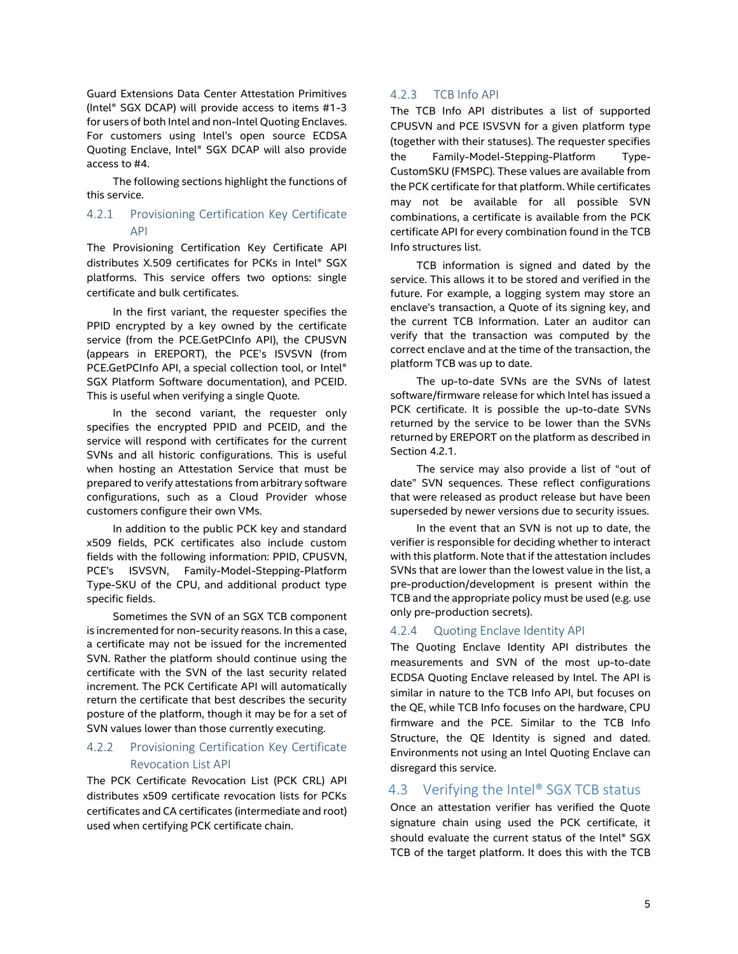Guard Extensions Data Center Attestation Primitives (Intel® SGX DCAP) will provide access to items #1-3 for users of both Intel and non-Intel Quoting Enclaves. For customers using Intel's open source ECDSA Quoting Enclave, Intel® SGX DCAP will also provide access to #4.

The following sections highlight the functions of this service.

### <span id="page-4-1"></span>4.2.1 Provisioning Certification Key Certificate API

The Provisioning Certification Key Certificate API distributes X.509 certificates for PCKs in Intel® SGX platforms. This service offers two options: single certificate and bulk certificates.

In the first variant, the requester specifies the PPID encrypted by a key owned by the certificate service (from the PCE.GetPCInfo API), the CPUSVN (appears in EREPORT), the PCE's ISVSVN (from PCE.GetPCInfo API, a special collection tool, or Intel® SGX Platform Software documentation), and PCEID. This is useful when verifying a single Quote.

In the second variant, the requester only specifies the encrypted PPID and PCEID, and the service will respond with certificates for the current SVNs and all historic configurations. This is useful when hosting an Attestation Service that must be prepared to verify attestations from arbitrary software configurations, such as a Cloud Provider whose customers configure their own VMs.

In addition to the public PCK key and standard x509 fields, PCK certificates also include custom fields with the following information: PPID, CPUSVN, PCE's ISVSVN, Family-Model-Stepping-Platform Type-SKU of the CPU, and additional product type specific fields.

Sometimes the SVN of an SGX TCB component is incremented for non-security reasons. In this a case, a certificate may not be issued for the incremented SVN. Rather the platform should continue using the certificate with the SVN of the last security related increment. The PCK Certificate API will automatically return the certificate that best describes the security posture of the platform, though it may be for a set of SVN values lower than those currently executing.

### 4.2.2 Provisioning Certification Key Certificate Revocation List API

The PCK Certificate Revocation List (PCK CRL) API distributes x509 certificate revocation lists for PCKs certificates and CA certificates (intermediate and root) used when certifying PCK certificate chain.

#### <span id="page-4-0"></span>4.2.3 TCB Info API

The TCB Info API distributes a list of supported CPUSVN and PCE ISVSVN for a given platform type (together with their statuses). The requester specifies the Family-Model-Stepping-Platform Type-CustomSKU (FMSPC). These values are available from the PCK certificate for that platform. While certificates may not be available for all possible SVN combinations, a certificate is available from the PCK certificate API for every combination found in the TCB Info structures list.

TCB information is signed and dated by the service. This allows it to be stored and verified in the future. For example, a logging system may store an enclave's transaction, a Quote of its signing key, and the current TCB Information. Later an auditor can verify that the transaction was computed by the correct enclave and at the time of the transaction, the platform TCB was up to date.

The up-to-date SVNs are the SVNs of latest software/firmware release for which Intel has issued a PCK certificate. It is possible the up-to-date SVNs returned by the service to be lower than the SVNs returned by EREPORT on the platform as described in Sectio[n 4.2.1.](#page-4-1)

The service may also provide a list of "out of date" SVN sequences. These reflect configurations that were released as product release but have been superseded by newer versions due to security issues.

In the event that an SVN is not up to date, the verifier is responsible for deciding whether to interact with this platform. Note that if the attestation includes SVNs that are lower than the lowest value in the list, a pre-production/development is present within the TCB and the appropriate policy must be used (e.g. use only pre-production secrets).

#### 4.2.4 Quoting Enclave Identity API

The Quoting Enclave Identity API distributes the measurements and SVN of the most up-to-date ECDSA Quoting Enclave released by Intel. The API is similar in nature to the TCB Info API, but focuses on the QE, while TCB Info focuses on the hardware, CPU firmware and the PCE. Similar to the TCB Info Structure, the QE Identity is signed and dated. Environments not using an Intel Quoting Enclave can disregard this service.

### 4.3 Verifying the Intel® SGX TCB status

Once an attestation verifier has verified the Quote signature chain using used the PCK certificate, it should evaluate the current status of the Intel® SGX TCB of the target platform. It does this with the TCB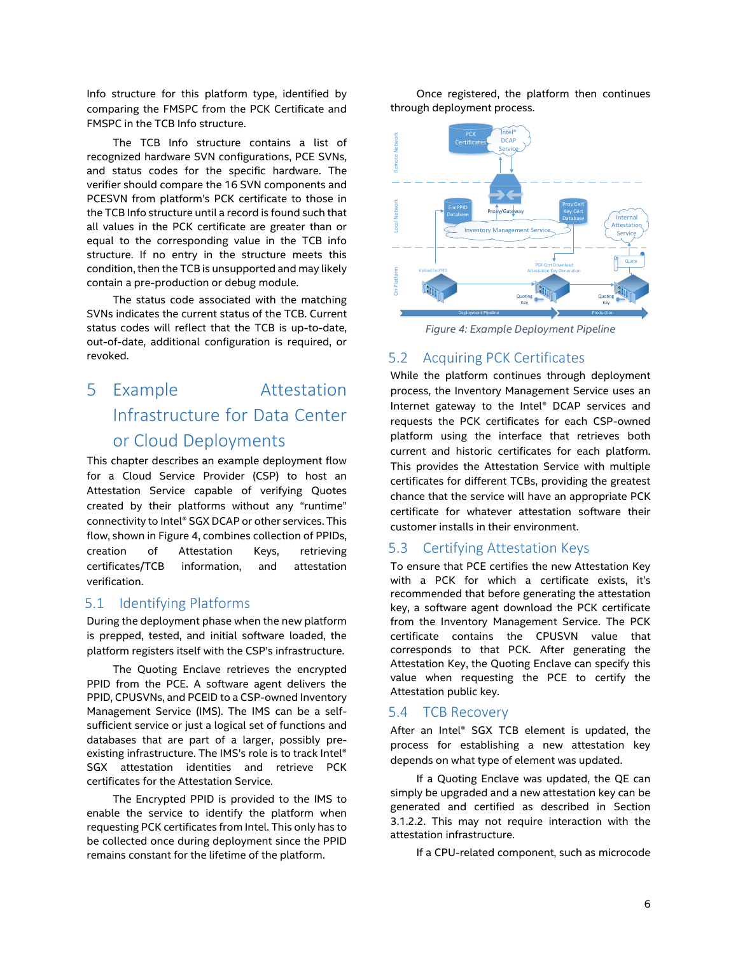Info structure for this platform type, identified by comparing the FMSPC from the PCK Certificate and FMSPC in the TCB Info structure.

The TCB Info structure contains a list of recognized hardware SVN configurations, PCE SVNs, and status codes for the specific hardware. The verifier should compare the 16 SVN components and PCESVN from platform's PCK certificate to those in the TCB Info structure until a record is found such that all values in the PCK certificate are greater than or equal to the corresponding value in the TCB info structure. If no entry in the structure meets this condition, then the TCB is unsupported and may likely contain a pre-production or debug module.

The status code associated with the matching SVNs indicates the current status of the TCB. Current status codes will reflect that the TCB is up-to-date, out-of-date, additional configuration is required, or revoked.

# <span id="page-5-0"></span>5 Example Attestation Infrastructure for Data Center or Cloud Deployments

This chapter describes an example deployment flow for a Cloud Service Provider (CSP) to host an Attestation Service capable of verifying Quotes created by their platforms without any "runtime" connectivity to Intel® SGX DCAP or other services. This flow, shown i[n Figure 4,](#page-5-1) combines collection of PPIDs, creation of Attestation Keys, retrieving certificates/TCB information, and attestation verification.

### 5.1 Identifying Platforms

During the deployment phase when the new platform is prepped, tested, and initial software loaded, the platform registers itself with the CSP's infrastructure.

The Quoting Enclave retrieves the encrypted PPID from the PCE. A software agent delivers the PPID, CPUSVNs, and PCEID to a CSP-owned Inventory Management Service (IMS). The IMS can be a selfsufficient service or just a logical set of functions and databases that are part of a larger, possibly preexisting infrastructure. The IMS's role is to track Intel® SGX attestation identities and retrieve PCK certificates for the Attestation Service.

The Encrypted PPID is provided to the IMS to enable the service to identify the platform when requesting PCK certificates from Intel. This only has to be collected once during deployment since the PPID remains constant for the lifetime of the platform.

Once registered, the platform then continues through deployment process.



<span id="page-5-1"></span>*Figure 4: Example Deployment Pipeline*

### 5.2 Acquiring PCK Certificates

While the platform continues through deployment process, the Inventory Management Service uses an Internet gateway to the Intel® DCAP services and requests the PCK certificates for each CSP-owned platform using the interface that retrieves both current and historic certificates for each platform. This provides the Attestation Service with multiple certificates for different TCBs, providing the greatest chance that the service will have an appropriate PCK certificate for whatever attestation software their customer installs in their environment.

### 5.3 Certifying Attestation Keys

To ensure that PCE certifies the new Attestation Key with a PCK for which a certificate exists, it's recommended that before generating the attestation key, a software agent download the PCK certificate from the Inventory Management Service. The PCK certificate contains the CPUSVN value that corresponds to that PCK. After generating the Attestation Key, the Quoting Enclave can specify this value when requesting the PCE to certify the Attestation public key.

#### 5.4 TCB Recovery

After an Intel® SGX TCB element is updated, the process for establishing a new attestation key depends on what type of element was updated.

If a Quoting Enclave was updated, the QE can simply be upgraded and a new attestation key can be generated and certified as described in Section [3.1.2.2.](#page-3-2) This may not require interaction with the attestation infrastructure.

If a CPU-related component, such as microcode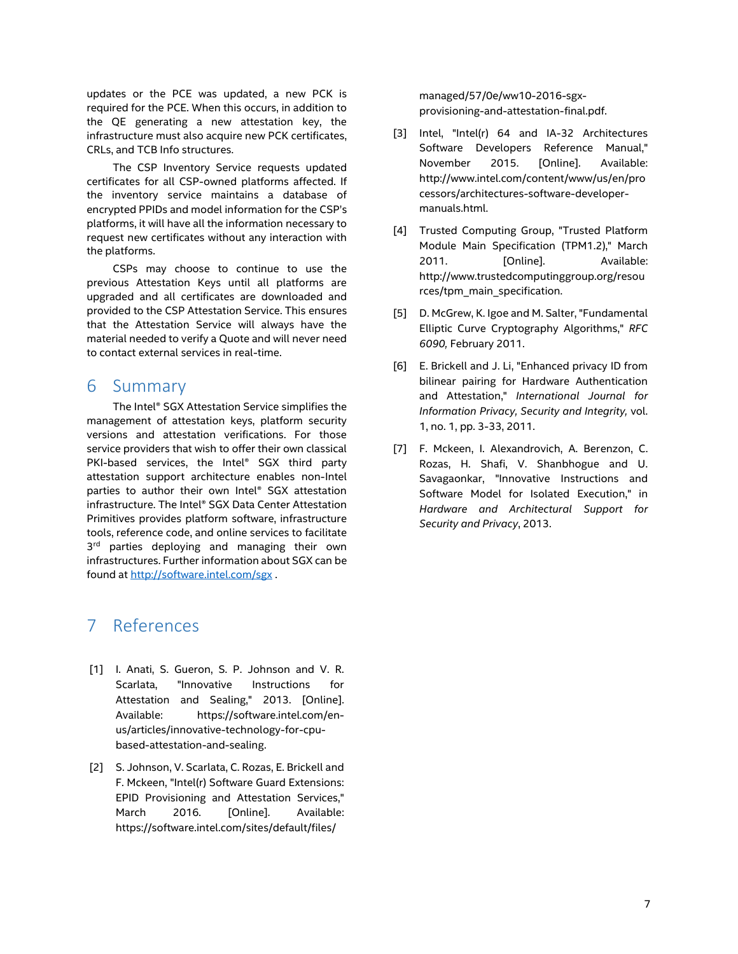updates or the PCE was updated, a new PCK is required for the PCE. When this occurs, in addition to the QE generating a new attestation key, the infrastructure must also acquire new PCK certificates, CRLs, and TCB Info structures.

The CSP Inventory Service requests updated certificates for all CSP-owned platforms affected. If the inventory service maintains a database of encrypted PPIDs and model information for the CSP's platforms, it will have all the information necessary to request new certificates without any interaction with the platforms.

CSPs may choose to continue to use the previous Attestation Keys until all platforms are upgraded and all certificates are downloaded and provided to the CSP Attestation Service. This ensures that the Attestation Service will always have the material needed to verify a Quote and will never need to contact external services in real-time.

## 6 Summary

The Intel® SGX Attestation Service simplifies the management of attestation keys, platform security versions and attestation verifications. For those service providers that wish to offer their own classical PKI-based services, the Intel® SGX third party attestation support architecture enables non-Intel parties to author their own Intel® SGX attestation infrastructure. The Intel® SGX Data Center Attestation Primitives provides platform software, infrastructure tools, reference code, and online services to facilitate 3<sup>rd</sup> parties deploying and managing their own infrastructures. Further information about SGX can be found a[t http://software.intel.com/sgx](http://software.intel.com/sgx) .

## 7 References

- [1] I. Anati, S. Gueron, S. P. Johnson and V. R. Scarlata, "Innovative Instructions for Attestation and Sealing," 2013. [Online]. Available: https://software.intel.com/enus/articles/innovative-technology-for-cpubased-attestation-and-sealing.
- [2] S. Johnson, V. Scarlata, C. Rozas, E. Brickell and F. Mckeen, "Intel(r) Software Guard Extensions: EPID Provisioning and Attestation Services," March 2016. [Online]. Available: https://software.intel.com/sites/default/files/

managed/57/0e/ww10-2016-sgxprovisioning-and-attestation-final.pdf.

- [3] Intel, "Intel(r) 64 and IA-32 Architectures Software Developers Reference Manual," November 2015. [Online]. Available: http://www.intel.com/content/www/us/en/pro cessors/architectures-software-developermanuals.html.
- [4] Trusted Computing Group, "Trusted Platform Module Main Specification (TPM1.2)," March 2011. [Online]. Available: http://www.trustedcomputinggroup.org/resou rces/tpm\_main\_specification.
- [5] D. McGrew, K. Igoe and M. Salter, "Fundamental Elliptic Curve Cryptography Algorithms," *RFC 6090,* February 2011.
- [6] E. Brickell and J. Li, "Enhanced privacy ID from bilinear pairing for Hardware Authentication and Attestation," *International Journal for Information Privacy, Security and Integrity,* vol. 1, no. 1, pp. 3-33, 2011.
- [7] F. Mckeen, I. Alexandrovich, A. Berenzon, C. Rozas, H. Shafi, V. Shanbhogue and U. Savagaonkar, "Innovative Instructions and Software Model for Isolated Execution," in *Hardware and Architectural Support for Security and Privacy*, 2013.